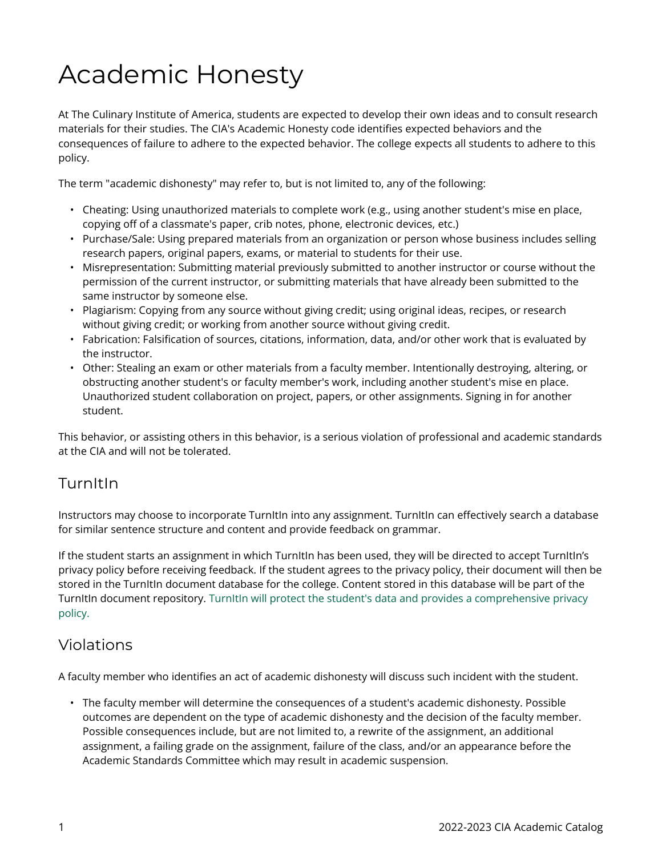# Academic Honesty

At The Culinary Institute of America, students are expected to develop their own ideas and to consult research materials for their studies. The CIA's Academic Honesty code identifies expected behaviors and the consequences of failure to adhere to the expected behavior. The college expects all students to adhere to this policy.

The term "academic dishonesty" may refer to, but is not limited to, any of the following:

- Cheating: Using unauthorized materials to complete work (e.g., using another student's mise en place, copying off of a classmate's paper, crib notes, phone, electronic devices, etc.)
- Purchase/Sale: Using prepared materials from an organization or person whose business includes selling research papers, original papers, exams, or material to students for their use.
- Misrepresentation: Submitting material previously submitted to another instructor or course without the permission of the current instructor, or submitting materials that have already been submitted to the same instructor by someone else.
- Plagiarism: Copying from any source without giving credit; using original ideas, recipes, or research without giving credit; or working from another source without giving credit.
- Fabrication: Falsification of sources, citations, information, data, and/or other work that is evaluated by the instructor.
- Other: Stealing an exam or other materials from a faculty member. Intentionally destroying, altering, or obstructing another student's or faculty member's work, including another student's mise en place. Unauthorized student collaboration on project, papers, or other assignments. Signing in for another student.

This behavior, or assisting others in this behavior, is a serious violation of professional and academic standards at the CIA and will not be tolerated.

#### **TurnItIn**

Instructors may choose to incorporate TurnItIn into any assignment. TurnItIn can effectively search a database for similar sentence structure and content and provide feedback on grammar.

If the student starts an assignment in which TurnItIn has been used, they will be directed to accept TurnItIn's privacy policy before receiving feedback. If the student agrees to the privacy policy, their document will then be stored in the TurnItIn document database for the college. Content stored in this database will be part of the TurnItIn document repository. [TurnItIn will protect the student's data and provides a comprehensive privacy](https://help.turnitin.com/Privacy_and_Security/Privacy_and_Security.htm)  [policy.](https://help.turnitin.com/Privacy_and_Security/Privacy_and_Security.htm) 

#### Violations

A faculty member who identifies an act of academic dishonesty will discuss such incident with the student.

• The faculty member will determine the consequences of a student's academic dishonesty. Possible outcomes are dependent on the type of academic dishonesty and the decision of the faculty member. Possible consequences include, but are not limited to, a rewrite of the assignment, an additional assignment, a failing grade on the assignment, failure of the class, and/or an appearance before the Academic Standards Committee which may result in academic suspension.